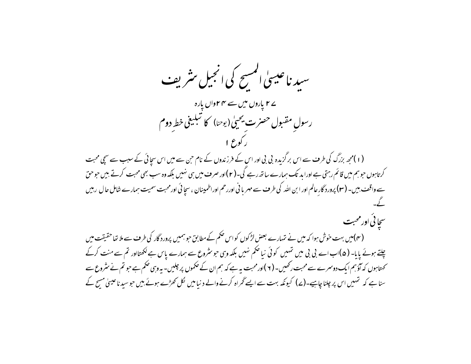سید ناعیسیٰ المسح کی انجیل مثریف ے ۲ یاروں میں سے ۴۴واں یارہ رسولِ مقبول حصرت يحيىٰ (يوحنا) كا تبليغى خط دوم (۱)محمر بزرگ کی طرف سے اس بر گزیدہ بی بی اور اس کے فرزندوں کے نام حن سے میں اس سجائی کے سبب سے سچی محبت کرتاہوں حوہم میں قائم رہتی ہے اورا بد تک ہمارے ساتھ رہے گی۔(۲)اور صرف میں ہی نہیں بلکہ وہ سب بھی محبت کرتے بیں حوحق سے واقف بیں۔ (۳) پرورد گار عالم اور ابن اللہ کی طرف سے مہر بانی اوررحم اوراطمینان ، سچائی اورمحبت سمیت ہمارے شامل حال رہیں سڃا ئي اور محبت (۴)میں بہت خوش ہوا کہ میں نے نہارے بعض لڑکوں کو اس حکم کے مطابق حبو ہمیں پرورد گار کی طرف سے ملا تعا حقیقت میں چلتے ہوئے یایا۔ (۵)اب اے بی بی میں تہیں کوئی نیا حکم نہیں بلکہ وہی حو سٹروع سے ہمارے پاس ہے لکھتااور تم سے منت کرکے کھتاہوں کہ آؤہم ایک دوسمرے سے محبت رکھیں۔ ( ۲ )اورمحبت یہ ہے کہ ہم ان کے حکموں پر چلیں- یہ وہی حکم ہے حو تم نے مثروع سے سنا ہے کہ تہمیں اس پر چلنا چاہیے۔(ے) کیونکہ بہت سے ایسے گھراہ کرنے والے د نیامیں لکل کھڑے ہوئے بیں حوسید ناعیبیٰ مسح کے